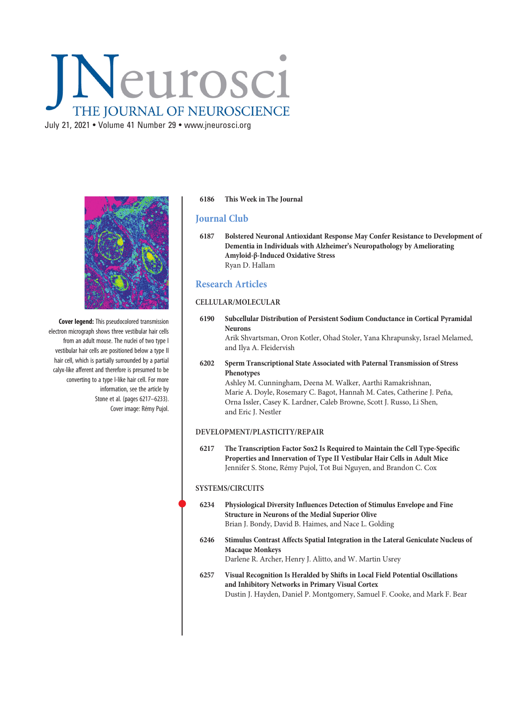# INeurosci THE JOURNAL OF NEUROSCIENCE

July 21, 2021 • Volume 41 Number 29 • [www.jneurosci.org](https://www.jneurosci.org)



Cover legend: This pseudocolored transmission electron micrograph shows three vestibular hair cells from an adult mouse. The nuclei of two type I vestibular hair cells are positioned below a type II hair cell, which is partially surrounded by a partial calyx-like afferent and therefore is presumed to be converting to a type I-like hair cell. For more information, see the article by Stone et al. (pages 6217–6233). Cover image: Rémy Pujol.

#### 6186 This Week in The Journal

## Journal Club

6187 Bolstered Neuronal Antioxidant Response May Confer Resistance to Development of Dementia in Individuals with Alzheimer's Neuropathology by Ameliorating Amyloid-β-Induced Oxidative Stress Ryan D. Hallam

## Research Articles

#### CELLULAR/MOLECULAR

6190 Subcellular Distribution of Persistent Sodium Conductance in Cortical Pyramidal Neurons

Arik Shvartsman, Oron Kotler, Ohad Stoler, Yana Khrapunsky, Israel Melamed, and Ilya A. Fleidervish

6202 Sperm Transcriptional State Associated with Paternal Transmission of Stress Phenotypes

Ashley M. Cunningham, Deena M. Walker, Aarthi Ramakrishnan, Marie A. Doyle, Rosemary C. Bagot, Hannah M. Cates, Catherine J. Peña, Orna Issler, Casey K. Lardner, Caleb Browne, Scott J. Russo, Li Shen, and Eric J. Nestler

#### DEVELOPMENT/PLASTICITY/REPAIR

6217 The Transcription Factor Sox2 Is Required to Maintain the Cell Type-Specific Properties and Innervation of Type II Vestibular Hair Cells in Adult Mice Jennifer S. Stone, Rémy Pujol, Tot Bui Nguyen, and Brandon C. Cox

#### SYSTEMS/CIRCUITS

- <sup>6234</sup> Physiological Diversity Influences Detection of Stimulus Envelope and Fine Structure in Neurons of the Medial Superior Olive Brian J. Bondy, David B. Haimes, and Nace L. Golding
- 6246 Stimulus Contrast Affects Spatial Integration in the Lateral Geniculate Nucleus of Macaque Monkeys Darlene R. Archer, Henry J. Alitto, and W. Martin Usrey
- 6257 Visual Recognition Is Heralded by Shifts in Local Field Potential Oscillations and Inhibitory Networks in Primary Visual Cortex Dustin J. Hayden, Daniel P. Montgomery, Samuel F. Cooke, and Mark F. Bear